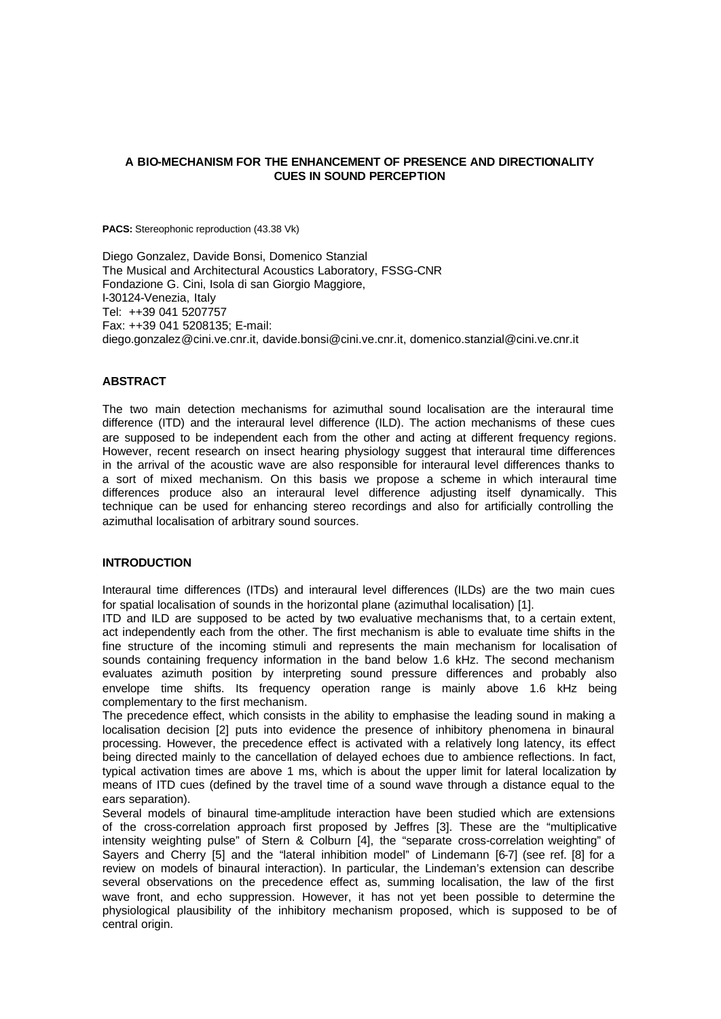## **A BIO-MECHANISM FOR THE ENHANCEMENT OF PRESENCE AND DIRECTIONALITY CUES IN SOUND PERCEPTION**

PACS: Stereophonic reproduction (43.38 Vk)

Diego Gonzalez, Davide Bonsi, Domenico Stanzial The Musical and Architectural Acoustics Laboratory, FSSG-CNR Fondazione G. Cini, Isola di san Giorgio Maggiore, I-30124-Venezia, Italy Tel: ++39 041 5207757 Fax: ++39 041 5208135; E-mail: diego.gonzalez@cini.ve.cnr.it, davide.bonsi@cini.ve.cnr.it, domenico.stanzial@cini.ve.cnr.it

# **ABSTRACT**

The two main detection mechanisms for azimuthal sound localisation are the interaural time difference (ITD) and the interaural level difference (ILD). The action mechanisms of these cues are supposed to be independent each from the other and acting at different frequency regions. However, recent research on insect hearing physiology suggest that interaural time differences in the arrival of the acoustic wave are also responsible for interaural level differences thanks to a sort of mixed mechanism. On this basis we propose a scheme in which interaural time differences produce also an interaural level difference adjusting itself dynamically. This technique can be used for enhancing stereo recordings and also for artificially controlling the azimuthal localisation of arbitrary sound sources.

### **INTRODUCTION**

Interaural time differences (ITDs) and interaural level differences (ILDs) are the two main cues for spatial localisation of sounds in the horizontal plane (azimuthal localisation) [1].

ITD and ILD are supposed to be acted by two evaluative mechanisms that, to a certain extent, act independently each from the other. The first mechanism is able to evaluate time shifts in the fine structure of the incoming stimuli and represents the main mechanism for localisation of sounds containing frequency information in the band below 1.6 kHz. The second mechanism evaluates azimuth position by interpreting sound pressure differences and probably also envelope time shifts. Its frequency operation range is mainly above 1.6 kHz being complementary to the first mechanism.

The precedence effect, which consists in the ability to emphasise the leading sound in making a localisation decision [2] puts into evidence the presence of inhibitory phenomena in binaural processing. However, the precedence effect is activated with a relatively long latency, its effect being directed mainly to the cancellation of delayed echoes due to ambience reflections. In fact, typical activation times are above 1 ms, which is about the upper limit for lateral localization by means of ITD cues (defined by the travel time of a sound wave through a distance equal to the ears separation).

Several models of binaural time-amplitude interaction have been studied which are extensions of the cross-correlation approach first proposed by Jeffres [3]. These are the "multiplicative intensity weighting pulse" of Stern & Colburn [4], the "separate cross-correlation weighting" of Sayers and Cherry [5] and the "lateral inhibition model" of Lindemann [6-7] (see ref. [8] for a review on models of binaural interaction). In particular, the Lindeman's extension can describe several observations on the precedence effect as, summing localisation, the law of the first wave front, and echo suppression. However, it has not yet been possible to determine the physiological plausibility of the inhibitory mechanism proposed, which is supposed to be of central origin.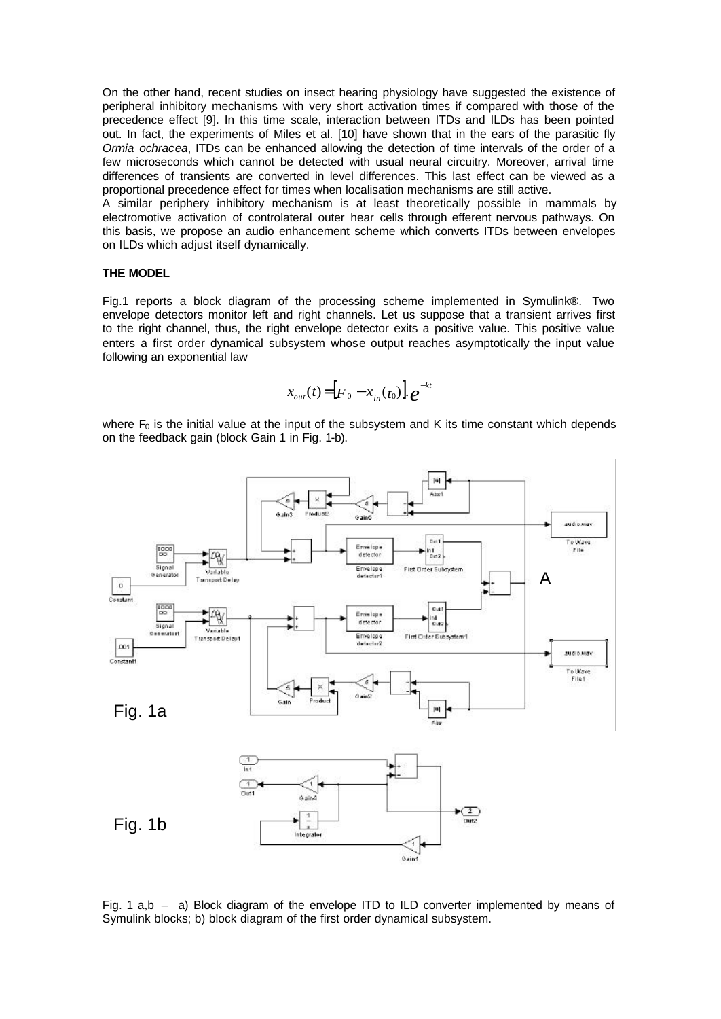On the other hand, recent studies on insect hearing physiology have suggested the existence of peripheral inhibitory mechanisms with very short activation times if compared with those of the precedence effect [9]. In this time scale, interaction between ITDs and ILDs has been pointed out. In fact, the experiments of Miles et al. [10] have shown that in the ears of the parasitic fly *Ormia ochracea*, ITDs can be enhanced allowing the detection of time intervals of the order of a few microseconds which cannot be detected with usual neural circuitry. Moreover, arrival time differences of transients are converted in level differences. This last effect can be viewed as a proportional precedence effect for times when localisation mechanisms are still active.

A similar periphery inhibitory mechanism is at least theoretically possible in mammals by electromotive activation of controlateral outer hear cells through efferent nervous pathways. On this basis, we propose an audio enhancement scheme which converts ITDs between envelopes on ILDs which adjust itself dynamically.

### **THE MODEL**

Fig.1 reports a block diagram of the processing scheme implemented in Symulink®. Two envelope detectors monitor left and right channels. Let us suppose that a transient arrives first to the right channel, thus, the right envelope detector exits a positive value. This positive value enters a first order dynamical subsystem whose output reaches asymptotically the input value following an exponential law

$$
x_{out}(t) = [F_0 - x_{in}(t_0)] \cdot e^{-kt}
$$

where  $F_0$  is the initial value at the input of the subsystem and K its time constant which depends on the feedback gain (block Gain 1 in Fig. 1-b).



Fig. 1 a,b – a) Block diagram of the envelope ITD to ILD converter implemented by means of Symulink blocks; b) block diagram of the first order dynamical subsystem.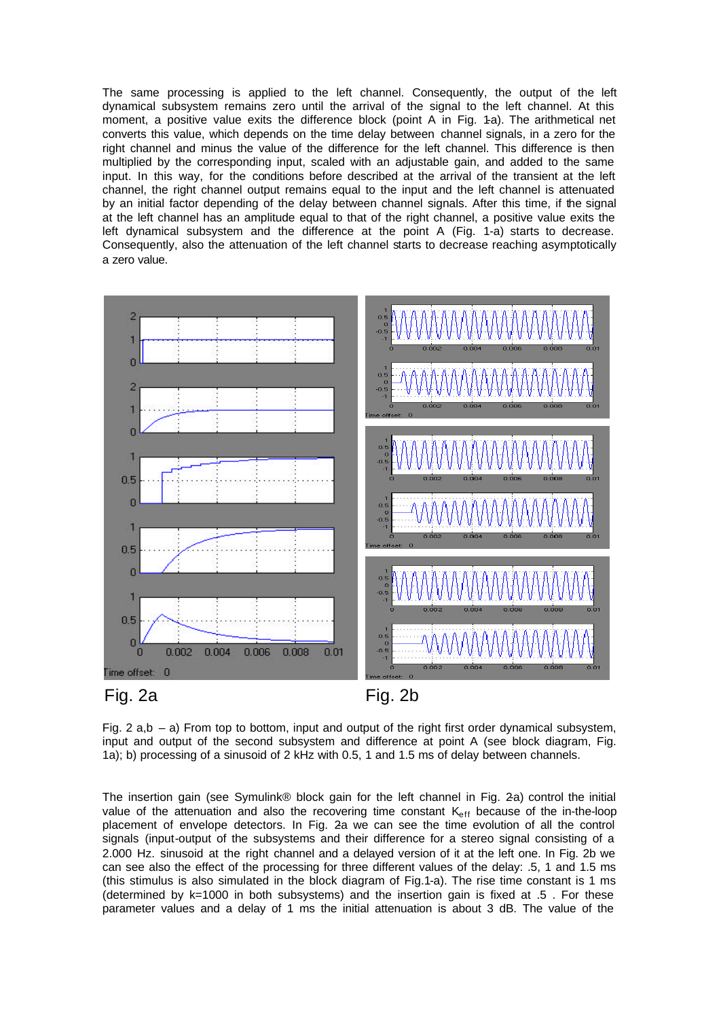The same processing is applied to the left channel. Consequently, the output of the left dynamical subsystem remains zero until the arrival of the signal to the left channel. At this moment, a positive value exits the difference block (point A in Fig. 1-a). The arithmetical net converts this value, which depends on the time delay between channel signals, in a zero for the right channel and minus the value of the difference for the left channel. This difference is then multiplied by the corresponding input, scaled with an adjustable gain, and added to the same input. In this way, for the conditions before described at the arrival of the transient at the left channel, the right channel output remains equal to the input and the left channel is attenuated by an initial factor depending of the delay between channel signals. After this time, if the signal at the left channel has an amplitude equal to that of the right channel, a positive value exits the left dynamical subsystem and the difference at the point A (Fig. 1-a) starts to decrease. Consequently, also the attenuation of the left channel starts to decrease reaching asymptotically a zero value.



Fig. 2  $a,b - a$ ) From top to bottom, input and output of the right first order dynamical subsystem, input and output of the second subsystem and difference at point A (see block diagram, Fig. 1a); b) processing of a sinusoid of 2 kHz with 0.5, 1 and 1.5 ms of delay between channels.

The insertion gain (see Symulink® block gain for the left channel in Fig. 2a) control the initial value of the attenuation and also the recovering time constant  $K_{\text{eff}}$  because of the in-the-loop placement of envelope detectors. In Fig. 2a we can see the time evolution of all the control signals (input-output of the subsystems and their difference for a stereo signal consisting of a 2.000 Hz. sinusoid at the right channel and a delayed version of it at the left one. In Fig. 2b we can see also the effect of the processing for three different values of the delay: .5, 1 and 1.5 ms (this stimulus is also simulated in the block diagram of Fig.1-a). The rise time constant is 1 ms (determined by  $k=1000$  in both subsystems) and the insertion gain is fixed at  $.5$ . For these parameter values and a delay of 1 ms the initial attenuation is about 3 dB. The value of the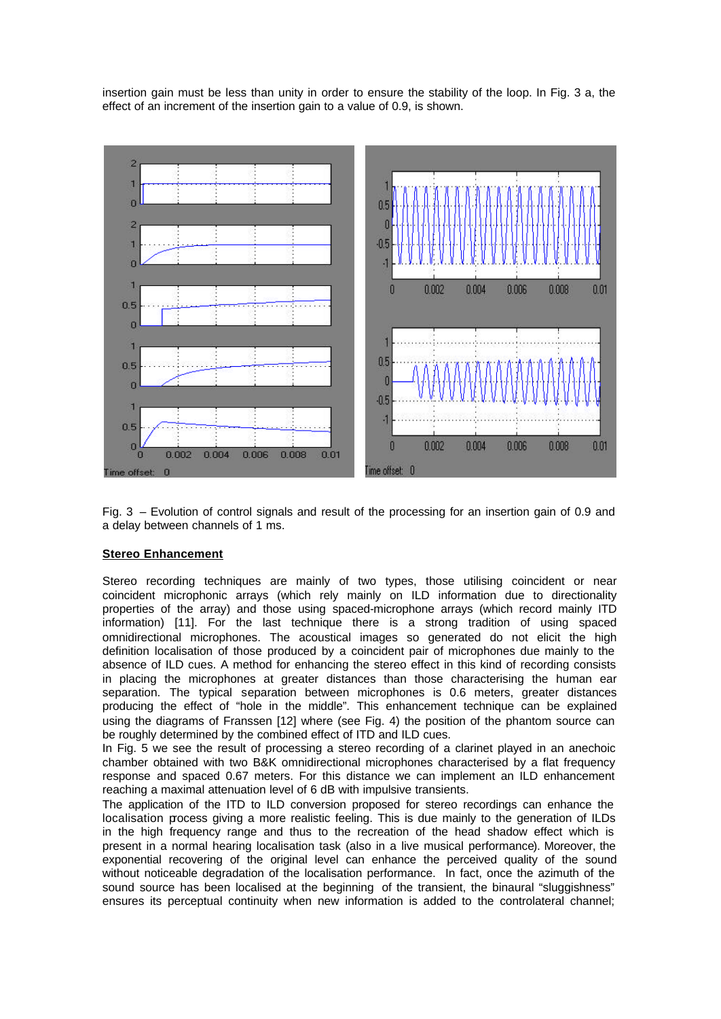insertion gain must be less than unity in order to ensure the stability of the loop. In Fig. 3 a, the effect of an increment of the insertion gain to a value of 0.9, is shown.



Fig. 3 – Evolution of control signals and result of the processing for an insertion gain of 0.9 and a delay between channels of 1 ms.

### **Stereo Enhancement**

Stereo recording techniques are mainly of two types, those utilising coincident or near coincident microphonic arrays (which rely mainly on ILD information due to directionality properties of the array) and those using spaced-microphone arrays (which record mainly ITD information) [11]. For the last technique there is a strong tradition of using spaced omnidirectional microphones. The acoustical images so generated do not elicit the high definition localisation of those produced by a coincident pair of microphones due mainly to the absence of ILD cues. A method for enhancing the stereo effect in this kind of recording consists in placing the microphones at greater distances than those characterising the human ear separation. The typical separation between microphones is 0.6 meters, greater distances producing the effect of "hole in the middle". This enhancement technique can be explained using the diagrams of Franssen [12] where (see Fig. 4) the position of the phantom source can be roughly determined by the combined effect of ITD and ILD cues.

In Fig. 5 we see the result of processing a stereo recording of a clarinet played in an anechoic chamber obtained with two B&K omnidirectional microphones characterised by a flat frequency response and spaced 0.67 meters. For this distance we can implement an ILD enhancement reaching a maximal attenuation level of 6 dB with impulsive transients.

The application of the ITD to ILD conversion proposed for stereo recordings can enhance the localisation process giving a more realistic feeling. This is due mainly to the generation of ILDs in the high frequency range and thus to the recreation of the head shadow effect which is present in a normal hearing localisation task (also in a live musical performance). Moreover, the exponential recovering of the original level can enhance the perceived quality of the sound without noticeable degradation of the localisation performance. In fact, once the azimuth of the sound source has been localised at the beginning of the transient, the binaural "sluggishness" ensures its perceptual continuity when new information is added to the controlateral channel;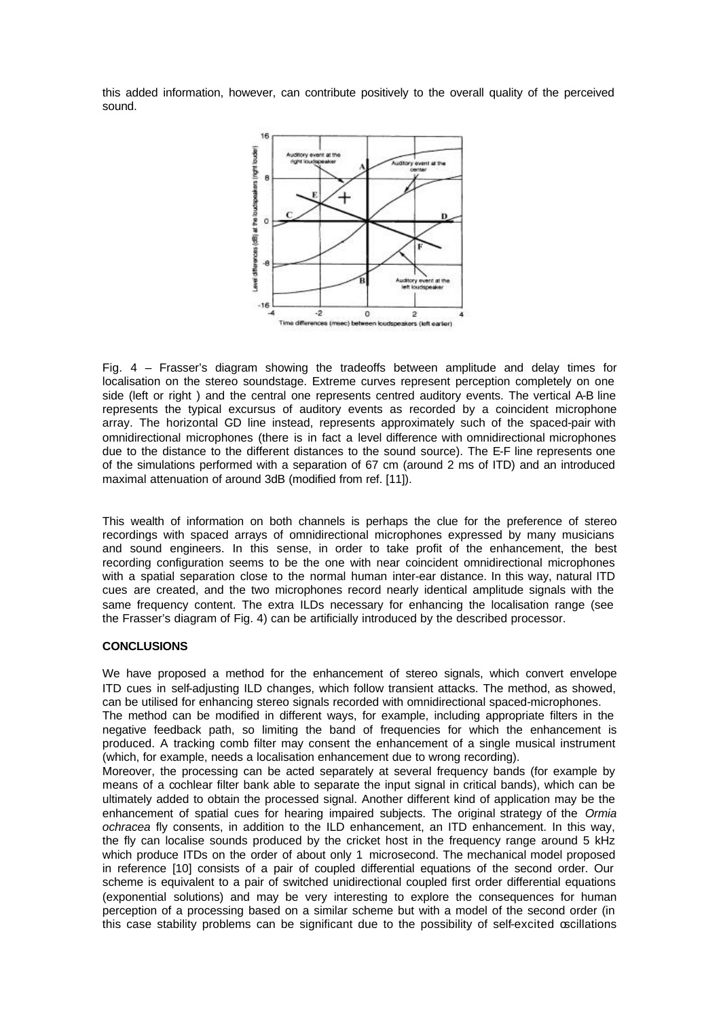this added information, however, can contribute positively to the overall quality of the perceived sound.



Fig. 4 – Frasser's diagram showing the tradeoffs between amplitude and delay times for localisation on the stereo soundstage. Extreme curves represent perception completely on one side (left or right ) and the central one represents centred auditory events. The vertical A-B line represents the typical excursus of auditory events as recorded by a coincident microphone array. The horizontal GD line instead, represents approximately such of the spaced-pair with omnidirectional microphones (there is in fact a level difference with omnidirectional microphones due to the distance to the different distances to the sound source). The E-F line represents one of the simulations performed with a separation of 67 cm (around 2 ms of ITD) and an introduced maximal attenuation of around 3dB (modified from ref. [11]).

This wealth of information on both channels is perhaps the clue for the preference of stereo recordings with spaced arrays of omnidirectional microphones expressed by many musicians and sound engineers. In this sense, in order to take profit of the enhancement, the best recording configuration seems to be the one with near coincident omnidirectional microphones with a spatial separation close to the normal human inter-ear distance. In this way, natural ITD cues are created, and the two microphones record nearly identical amplitude signals with the same frequency content. The extra ILDs necessary for enhancing the localisation range (see the Frasser's diagram of Fig. 4) can be artificially introduced by the described processor.

### **CONCLUSIONS**

We have proposed a method for the enhancement of stereo signals, which convert envelope ITD cues in self-adjusting ILD changes, which follow transient attacks. The method, as showed, can be utilised for enhancing stereo signals recorded with omnidirectional spaced-microphones. The method can be modified in different ways, for example, including appropriate filters in the negative feedback path, so limiting the band of frequencies for which the enhancement is produced. A tracking comb filter may consent the enhancement of a single musical instrument (which, for example, needs a localisation enhancement due to wrong recording).

Moreover, the processing can be acted separately at several frequency bands (for example by means of a cochlear filter bank able to separate the input signal in critical bands), which can be ultimately added to obtain the processed signal. Another different kind of application may be the enhancement of spatial cues for hearing impaired subjects. The original strategy of the *Ormia ochracea* fly consents, in addition to the ILD enhancement, an ITD enhancement. In this way, the fly can localise sounds produced by the cricket host in the frequency range around 5 kHz which produce ITDs on the order of about only 1 microsecond. The mechanical model proposed in reference [10] consists of a pair of coupled differential equations of the second order. Our scheme is equivalent to a pair of switched unidirectional coupled first order differential equations (exponential solutions) and may be very interesting to explore the consequences for human perception of a processing based on a similar scheme but with a model of the second order (in this case stability problems can be significant due to the possibility of self-excited oscillations